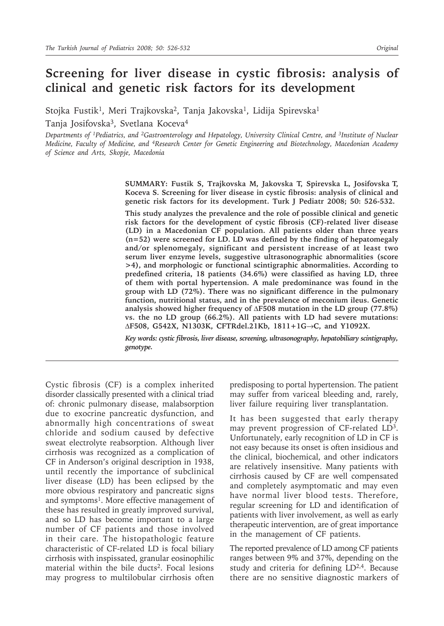# **Screening for liver disease in cystic fibrosis: analysis of clinical and genetic risk factors for its development**

Stojka Fustik<sup>1</sup>, Meri Trajkovska<sup>2</sup>, Tanja Jakovska<sup>1</sup>, Lidija Spirevska<sup>1</sup>

Tanja Josifovska<sup>3</sup>, Svetlana Koceva<sup>4</sup>

*Departments of 1Pediatrics, and 2Gastroenterology and Hepatology, University Clinical Centre, and 3Institute of Nuclear Medicine, Faculty of Medicine, and 4Research Center for Genetic Engineering and Biotechnology, Macedonian Academy of Science and Arts, Skopje, Macedonia*

> **SUMMARY: Fustik S, Trajkovska M, Jakovska T, Spirevska L, Josifovska T, Koceva S. Screening for liver disease in cystic fibrosis: analysis of clinical and genetic risk factors for its development. Turk J Pediatr 2008; 50: 526-532.**

> **This study analyzes the prevalence and the role of possible clinical and genetic risk factors for the development of cystic fibrosis (CF)-related liver disease (LD) in a Macedonian CF population. All patients older than three years (n=52) were screened for LD. LD was defined by the finding of hepatomegaly and/or splenomegaly, significant and persistent increase of at least two serum liver enzyme levels, suggestive ultrasonographic abnormalities (score >4), and morphologic or functional scintigraphic abnormalities. According to predefined criteria, 18 patients (34.6%) were classified as having LD, three of them with portal hypertension. A male predominance was found in the group with LD (72%). There was no significant difference in the pulmonary function, nutritional status, and in the prevalence of meconium ileus. Genetic analysis showed higher frequency of** ∆**F508 mutation in the LD group (77.8%) vs. the no LD group (66.2%). All patients with LD had severe mutations:**  ∆**F508, G542X, N1303K, CFTRdel.21Kb, 1811+1G**→**C, and Y1092X.**

> *Key words: cystic fibrosis, liver disease, screening, ultrasonography, hepatobiliary scintigraphy, genotype.*

Cystic fibrosis (CF) is a complex inherited disorder classically presented with a clinical triad of: chronic pulmonary disease, malabsorption due to exocrine pancreatic dysfunction, and abnormally high concentrations of sweat chloride and sodium caused by defective sweat electrolyte reabsorption. Although liver cirrhosis was recognized as a complication of CF in Anderson's original description in 1938, until recently the importance of subclinical liver disease (LD) has been eclipsed by the more obvious respiratory and pancreatic signs and symptoms<sup>1</sup>. More effective management of these has resulted in greatly improved survival, and so LD has become important to a large number of CF patients and those involved in their care. The histopathologic feature characteristic of CF-related LD is focal biliary cirrhosis with inspissated, granular eosinophilic material within the bile ducts<sup>2</sup>. Focal lesions may progress to multilobular cirrhosis often

predisposing to portal hypertension. The patient may suffer from variceal bleeding and, rarely, liver failure requiring liver transplantation.

It has been suggested that early therapy may prevent progression of CF-related LD3. Unfortunately, early recognition of LD in CF is not easy because its onset is often insidious and the clinical, biochemical, and other indicators are relatively insensitive. Many patients with cirrhosis caused by CF are well compensated and completely asymptomatic and may even have normal liver blood tests. Therefore, regular screening for LD and identification of patients with liver involvement, as well as early therapeutic intervention, are of great importance in the management of CF patients.

The reported prevalence of LD among CF patients ranges between 9% and 37%, depending on the study and criteria for defining LD<sup>2,4</sup>. Because there are no sensitive diagnostic markers of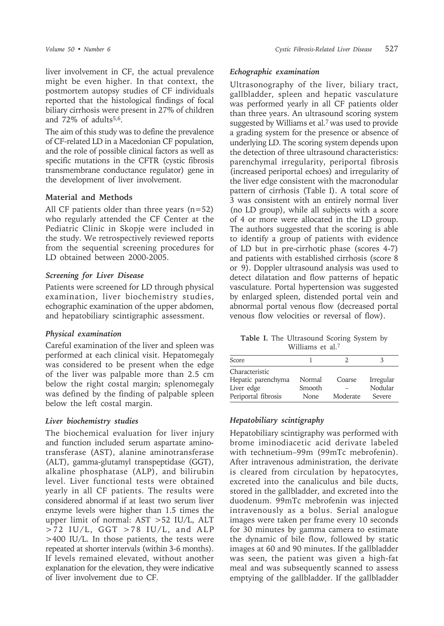liver involvement in CF, the actual prevalence might be even higher. In that context, the postmortem autopsy studies of CF individuals reported that the histological findings of focal biliary cirrhosis were present in 27% of children and  $72\%$  of adults<sup>5,6</sup>.

The aim of this study was to define the prevalence of CF-related LD in a Macedonian CF population, and the role of possible clinical factors as well as specific mutations in the CFTR (cystic fibrosis transmembrane conductance regulator) gene in the development of liver involvement.

#### **Material and Methods**

All CF patients older than three years (n=52) who regularly attended the CF Center at the Pediatric Clinic in Skopje were included in the study. We retrospectively reviewed reports from the sequential screening procedures for LD obtained between 2000-2005.

#### *Screening for Liver Disease*

Patients were screened for LD through physical examination, liver biochemistry studies, echographic examination of the upper abdomen, and hepatobiliary scintigraphic assessment.

# *Physical examination*

Careful examination of the liver and spleen was performed at each clinical visit. Hepatomegaly was considered to be present when the edge of the liver was palpable more than 2.5 cm below the right costal margin; splenomegaly was defined by the finding of palpable spleen below the left costal margin.

#### *Liver biochemistry studies*

The biochemical evaluation for liver injury and function included serum aspartate aminotransferase (AST), alanine aminotransferase (ALT), gamma-glutamyl transpeptidase (GGT), alkaline phosphatase (ALP), and bilirubin level. Liver functional tests were obtained yearly in all CF patients. The results were considered abnormal if at least two serum liver enzyme levels were higher than 1.5 times the upper limit of normal: AST >52 IU/L, ALT >72 IU/L, GGT >78 IU/L, and ALP >400 IU/L. In those patients, the tests were repeated at shorter intervals (within 3-6 months). If levels remained elevated, without another explanation for the elevation, they were indicative of liver involvement due to CF.

#### *Echographic examination*

Ultrasonography of the liver, biliary tract, gallbladder, spleen and hepatic vasculature was performed yearly in all CF patients older than three years. An ultrasound scoring system suggested by Williams et al.7 was used to provide a grading system for the presence or absence of underlying LD. The scoring system depends upon the detection of three ultrasound characteristics: parenchymal irregularity, periportal fibrosis (increased periportal echoes) and irregularity of the liver edge consistent with the macronodular pattern of cirrhosis (Table I). A total score of 3 was consistent with an entirely normal liver (no LD group), while all subjects with a score of 4 or more were allocated in the LD group. The authors suggested that the scoring is able to identify a group of patients with evidence of LD but in pre-cirrhotic phase (scores 4-7) and patients with established cirrhosis (score 8 or 9). Doppler ultrasound analysis was used to detect dilatation and flow patterns of hepatic vasculature. Portal hypertension was suggested by enlarged spleen, distended portal vein and abnormal portal venous flow (decreased portal venous flow velocities or reversal of flow).

**Table I.** The Ultrasound Scoring System by Williams et al.7

| Score               |        |          |           |
|---------------------|--------|----------|-----------|
| Characteristic      |        |          |           |
| Hepatic parenchyma  | Normal | Coarse   | Irregular |
| Liver edge          | Smooth |          | Nodular   |
| Periportal fibrosis | None   | Moderate | Severe    |

# *Hepatobiliary scintigraphy*

Hepatobiliary scintigraphy was performed with brome iminodiacetic acid derivate labeled with technetium–99m (99mTc mebrofenin). After intravenous administration, the derivate is cleared from circulation by hepatocytes, excreted into the canaliculus and bile ducts, stored in the gallbladder, and excreted into the duodenum. 99mTc mebrofenin was injected intravenously as a bolus. Serial analogue images were taken per frame every 10 seconds for 30 minutes by gamma camera to estimate the dynamic of bile flow, followed by static images at 60 and 90 minutes. If the gallbladder was seen, the patient was given a high-fat meal and was subsequently scanned to assess emptying of the gallbladder. If the gallbladder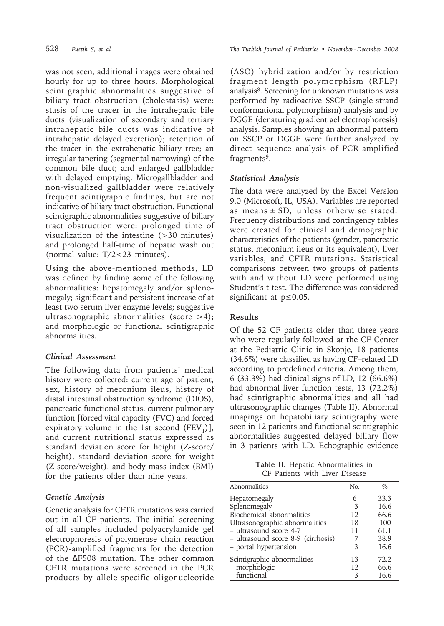was not seen, additional images were obtained hourly for up to three hours. Morphological scintigraphic abnormalities suggestive of biliary tract obstruction (cholestasis) were: stasis of the tracer in the intrahepatic bile ducts (visualization of secondary and tertiary intrahepatic bile ducts was indicative of intrahepatic delayed excretion); retention of the tracer in the extrahepatic biliary tree; an irregular tapering (segmental narrowing) of the common bile duct; and enlarged gallbladder with delayed emptying. Microgallbladder and non-visualized gallbladder were relatively frequent scintigraphic findings, but are not indicative of biliary tract obstruction. Functional scintigraphic abnormalities suggestive of biliary tract obstruction were: prolonged time of visualization of the intestine (>30 minutes) and prolonged half-time of hepatic wash out (normal value: T/2<23 minutes).

Using the above-mentioned methods, LD was defined by finding some of the following abnormalities: hepatomegaly and/or splenomegaly; significant and persistent increase of at least two serum liver enzyme levels; suggestive ultrasonographic abnormalities (score >4); and morphologic or functional scintigraphic abnormalities.

# *Clinical Assessment*

The following data from patients' medical history were collected: current age of patient, sex, history of meconium ileus, history of distal intestinal obstruction syndrome (DIOS), pancreatic functional status, current pulmonary function [forced vital capacity (FVC) and forced expiratory volume in the 1st second  $(FEV_1)$ ], and current nutritional status expressed as standard deviation score for height (Z-score/ height), standard deviation score for weight (Z-score/weight), and body mass index (BMI) for the patients older than nine years.

# *Genetic Analysis*

Genetic analysis for CFTR mutations was carried out in all CF patients. The initial screening of all samples included polyacrylamide gel electrophoresis of polymerase chain reaction (PCR)-amplified fragments for the detection of the ∆F508 mutation. The other common CFTR mutations were screened in the PCR products by allele-specific oligonucleotide

528 *Fustik S, et al The Turkish Journal of Pediatrics • November - December 2008*

(ASO) hybridization and/or by restriction fragment length polymorphism (RFLP) analysis8. Screening for unknown mutations was performed by radioactive SSCP (single-strand conformational polymorphism) analysis and by DGGE (denaturing gradient gel electrophoresis) analysis. Samples showing an abnormal pattern on SSCP or DGGE were further analyzed by direct sequence analysis of PCR-amplified fragments<sup>9</sup>.

#### *Statistical Analysis*

The data were analyzed by the Excel Version 9.0 (Microsoft, IL, USA). Variables are reported as means  $\pm$  SD, unless otherwise stated. Frequency distributions and contingency tables were created for clinical and demographic characteristics of the patients (gender, pancreatic status, meconium ileus or its equivalent), liver variables, and CFTR mutations. Statistical comparisons between two groups of patients with and without LD were performed using Student's t test. The difference was considered significant at p≤0.05.

### **Results**

Of the 52 CF patients older than three years who were regularly followed at the CF Center at the Pediatric Clinic in Skopje, 18 patients (34.6%) were classified as having CF–related LD according to predefined criteria. Among them, 6 (33.3%) had clinical signs of LD, 12 (66.6%) had abnormal liver function tests, 13 (72.2%) had scintigraphic abnormalities and all had ultrasonographic changes (Table II). Abnormal imagings on hepatobiliary scintigraphy were seen in 12 patients and functional scintigraphic abnormalities suggested delayed biliary flow in 3 patients with LD. Echographic evidence

**Table II.** Hepatic Abnormalities in CF Patients with Liver Disease

| Abnormalities                      | No. | $\%$ |
|------------------------------------|-----|------|
| Hepatomegaly                       | 6   | 33.3 |
| Splenomegaly                       | 3   | 16.6 |
| Biochemical abnormalities          | 12  | 66.6 |
| Ultrasonographic abnormalities     | 18  | 100  |
| - ultrasound score 4-7             | 11  | 61.1 |
| - ultrasound score 8-9 (cirrhosis) |     | 38.9 |
| - portal hypertension              | 3   | 16.6 |
| Scintigraphic abnormalities        | 13  | 72.2 |
| - morphologic                      | 12  | 66.6 |
| - functional                       | 3   | 16.6 |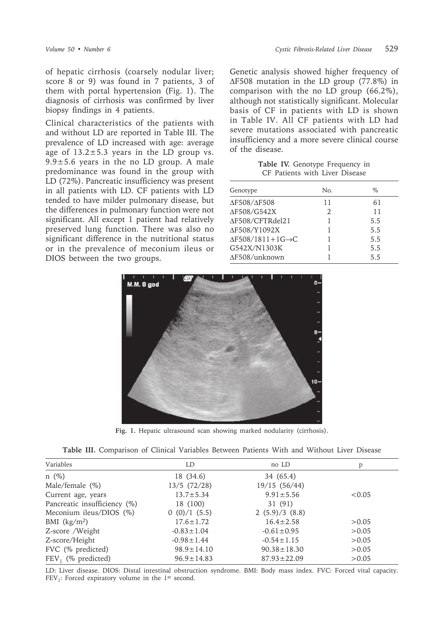of hepatic cirrhosis (coarsely nodular liver; score 8 or 9) was found in 7 patients, 3 of them with portal hypertension (Fig. 1). The diagnosis of cirrhosis was confirmed by liver biopsy findings in 4 patients.

Clinical characteristics of the patients with and without LD are reported in Table III. The prevalence of LD increased with age: average age of  $13.2 \pm 5.3$  years in the LD group vs.  $9.9 \pm 5.6$  years in the no LD group. A male predominance was found in the group with LD (72%). Pancreatic insufficiency was present in all patients with LD. CF patients with LD tended to have milder pulmonary disease, but the differences in pulmonary function were not significant. All except 1 patient had relatively preserved lung function. There was also no significant difference in the nutritional status or in the prevalence of meconium ileus or DIOS between the two groups.

Genetic analysis showed higher frequency of ∆F508 mutation in the LD group (77.8%) in comparison with the no LD group (66.2%), although not statistically significant. Molecular basis of CF in patients with LD is shown in Table IV. All CF patients with LD had severe mutations associated with pancreatic insufficiency and a more severe clinical course of the disease.

**Table IV.** Genotype Frequency in CF Patients with Liver Disease

| Genotype                              | No. | $\%$ |
|---------------------------------------|-----|------|
| $\Delta$ F508/ $\Delta$ F508          | 11  | 61   |
| ΔF508/G542X                           | 2.  | 11   |
| ∆F508/CFTRdel21                       |     | 5.5  |
| ΔF508/Y1092X                          |     | 5.5  |
| $\Delta$ F508/1811+1G $\rightarrow$ C |     | 5.5  |
| G542X/N1303K                          |     | 5.5  |
| ∆F508/unknown                         |     | 5.5  |



**Fig. 1.** Hepatic ultrasound scan showing marked nodularity (cirrhosis).

|  |  | Table III. Comparison of Clinical Variables Between Patients With and Without Liver Disease |  |  |  |  |  |  |  |  |  |  |
|--|--|---------------------------------------------------------------------------------------------|--|--|--|--|--|--|--|--|--|--|
|--|--|---------------------------------------------------------------------------------------------|--|--|--|--|--|--|--|--|--|--|

| Variables                    | LD               | no LD             | p      |  |
|------------------------------|------------------|-------------------|--------|--|
| $n(\%)$                      | 18 (34.6)        | 34 (65.4)         |        |  |
| Male/female $(\%)$           | $13/5$ (72/28)   | 19/15 (56/44)     |        |  |
| Current age, years           | $13.7 \pm 5.34$  | $9.91 \pm 5.56$   | < 0.05 |  |
| Pancreatic insufficiency (%) | 18 (100)         | 31 (91)           |        |  |
| Meconium ileus/DIOS $(\%)$   | 0(0)/1(5.5)      | 2(5.9)/3(8.8)     |        |  |
| BMI $(kg/m2)$                | $17.6 \pm 1.72$  | $16.4 \pm 2.58$   | > 0.05 |  |
| Z-score /Weight              | $-0.83 \pm 1.04$ | $-0.61 \pm 0.95$  | > 0.05 |  |
| Z-score/Height               | $-0.98 \pm 1.44$ | $-0.54 \pm 1.15$  | >0.05  |  |
| FVC (% predicted)            | $98.9 \pm 14.10$ | $90.38 \pm 18.30$ | > 0.05 |  |
| $FEV_1$ (% predicted)        | $96.9 \pm 14.83$ | $87.93 \pm 22.09$ | > 0.05 |  |
|                              |                  |                   |        |  |

LD: Liver disease. DIOS: Distal intestinal obstruction syndrome. BMI: Body mass index. FVC: Forced vital capacity.  $FEV<sub>1</sub>$ : Forced expiratory volume in the 1<sup>st</sup> second.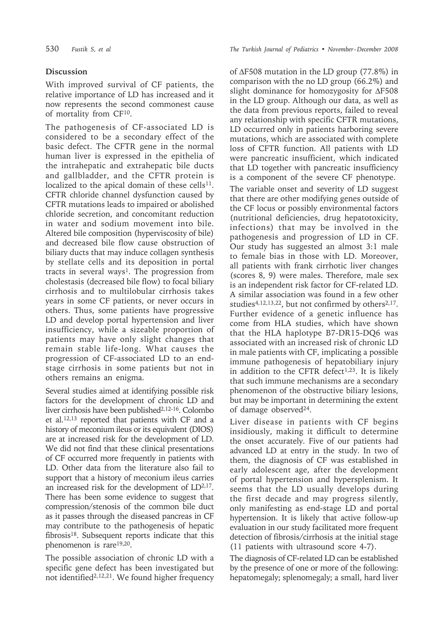# **Discussion**

With improved survival of CF patients, the relative importance of LD has increased and it now represents the second commonest cause of mortality from CF10.

The pathogenesis of CF-associated LD is considered to be a secondary effect of the basic defect. The CFTR gene in the normal human liver is expressed in the epithelia of the intrahepatic and extrahepatic bile ducts and gallbladder, and the CFTR protein is localized to the apical domain of these cells $^{11}$ . CFTR chloride channel dysfunction caused by CFTR mutations leads to impaired or abolished chloride secretion, and concomitant reduction in water and sodium movement into bile. Altered bile composition (hyperviscosity of bile) and decreased bile flow cause obstruction of biliary ducts that may induce collagen synthesis by stellate cells and its deposition in portal tracts in several ways<sup>1</sup>. The progression from cholestasis (decreased bile flow) to focal biliary cirrhosis and to multilobular cirrhosis takes years in some CF patients, or never occurs in others. Thus, some patients have progressive LD and develop portal hypertension and liver insufficiency, while a sizeable proportion of patients may have only slight changes that remain stable life-long. What causes the progression of CF-associated LD to an endstage cirrhosis in some patients but not in others remains an enigma.

Several studies aimed at identifying possible risk factors for the development of chronic LD and liver cirrhosis have been published2,12-16. Colombo et al.12,13 reported that patients with CF and a history of meconium ileus or its equivalent (DIOS) are at increased risk for the development of LD. We did not find that these clinical presentations of CF occurred more frequently in patients with LD. Other data from the literature also fail to support that a history of meconium ileus carries an increased risk for the development of LD2,17. There has been some evidence to suggest that compression/stenosis of the common bile duct as it passes through the diseased pancreas in CF may contribute to the pathogenesis of hepatic fibrosis18. Subsequent reports indicate that this phenomenon is rare19,20.

The possible association of chronic LD with a specific gene defect has been investigated but not identified<sup>2,12,21</sup>. We found higher frequency

530 *Fustik S, et al The Turkish Journal of Pediatrics • November - December 2008*

of ∆F508 mutation in the LD group (77.8%) in comparison with the no LD group (66.2%) and slight dominance for homozygosity for ∆F508 in the LD group. Although our data, as well as the data from previous reports, failed to reveal any relationship with specific CFTR mutations, LD occurred only in patients harboring severe mutations, which are associated with complete loss of CFTR function. All patients with LD were pancreatic insufficient, which indicated that LD together with pancreatic insufficiency is a component of the severe CF phenotype.

The variable onset and severity of LD suggest that there are other modifying genes outside of the CF locus or possibly environmental factors (nutritional deficiencies, drug hepatotoxicity, infections) that may be involved in the pathogenesis and progression of LD in CF. Our study has suggested an almost 3:1 male to female bias in those with LD. Moreover, all patients with frank cirrhotic liver changes (scores 8, 9) were males. Therefore, male sex is an independent risk factor for CF-related LD. A similar association was found in a few other studies<sup>4,12,13,22</sup>, but not confirmed by others<sup>2,17</sup>. Further evidence of a genetic influence has come from HLA studies, which have shown that the HLA haplotype B7-DR15-DQ6 was associated with an increased risk of chronic LD in male patients with CF, implicating a possible immune pathogenesis of hepatobiliary injury in addition to the CFTR defect $1,23$ . It is likely that such immune mechanisms are a secondary phenomenon of the obstructive biliary lesions, but may be important in determining the extent of damage observed24.

Liver disease in patients with CF begins insidiously, making it difficult to determine the onset accurately. Five of our patients had advanced LD at entry in the study. In two of them, the diagnosis of CF was established in early adolescent age, after the development of portal hypertension and hypersplenism. It seems that the LD usually develops during the first decade and may progress silently, only manifesting as end-stage LD and portal hypertension. It is likely that active follow-up evaluation in our study facilitated more frequent detection of fibrosis/cirrhosis at the initial stage (11 patients with ultrasound score 4-7).

The diagnosis of CF-related LD can be established by the presence of one or more of the following: hepatomegaly; splenomegaly; a small, hard liver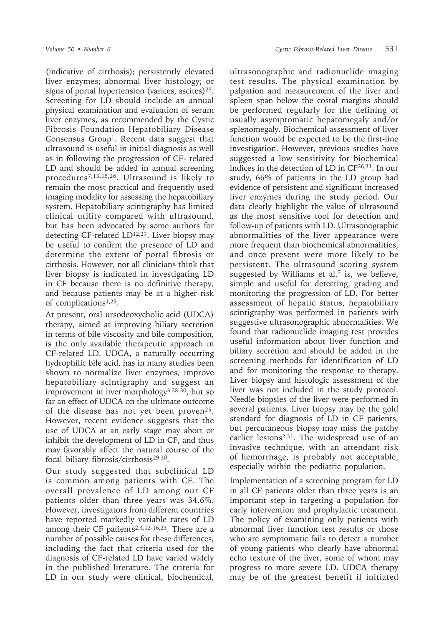(indicative of cirrhosis); persistently elevated liver enzymes; abnormal liver histology; or signs of portal hypertension (varices, ascites)25. Screening for LD should include an annual physical examination and evaluation of serum liver enzymes, as recommended by the Cystic Fibrosis Foundation Hepatobiliary Disease Consensus Group<sup>1</sup>. Recent data suggest that ultrasound is useful in initial diagnosis as well as in following the progression of CF- related LD and should be added in annual screening procedures7,13,15,26. Ultrasound is likely to remain the most practical and frequently used imaging modality for assessing the hepatobiliary system. Hepatobiliary scintigraphy has limited clinical utility compared with ultrasound, but has been advocated by some authors for detecting CF-related LD12,27. Liver biopsy may be useful to confirm the presence of LD and determine the extent of portal fibrosis or cirrhosis. However, not all clinicians think that liver biopsy is indicated in investigating LD in CF because there is no definitive therapy, and because patients may be at a higher risk of complications1,25.

At present, oral ursodeoxycholic acid (UDCA) therapy, aimed at improving biliary secretion in terms of bile viscosity and bile composition, is the only available therapeutic approach in CF-related LD. UDCA, a naturally occurring hydrophilic bile acid, has in many studies been shown to normalize liver enzymes, improve hepatobiliary scintigraphy and suggest an improvement in liver morphology<sup>3,28-30</sup>, but so far an effect of UDCA on the ultimate outcome of the disease has not yet been proven<sup>25</sup>. However, recent evidence suggests that the use of UDCA at an early stage may abort or inhibit the development of LD in CF, and thus may favorably affect the natural course of the focal biliary fibrosis/cirrhosis29,30.

Our study suggested that subclinical LD is common among patients with CF. The overall prevalence of LD among our CF patients older than three years was 34.6%. However, investigators from different countries have reported markedly variable rates of LD among their CF patients<sup>2,4,12-16,23</sup>. There are a number of possible causes for these differences, including the fact that criteria used for the diagnosis of CF-related LD have varied widely in the published literature. The criteria for LD in our study were clinical, biochemical,

ultrasonographic and radionuclide imaging test results. The physical examination by palpation and measurement of the liver and spleen span below the costal margins should be performed regularly for the defining of usually asymptomatic hepatomegaly and/or splenomegaly. Biochemical assessment of liver function would be expected to be the first-line investigation. However, previous studies have suggested a low sensitivity for biochemical indices in the detection of LD in CF26,31. In our study, 66% of patients in the LD group had evidence of persistent and significant increased liver enzymes during the study period. Our data clearly highlight the value of ultrasound as the most sensitive tool for detection and follow-up of patients with LD. Ultrasonographic abnormalities of the liver appearance were more frequent than biochemical abnormalities, and once present were more likely to be persistent. The ultrasound scoring system suggested by Williams et al.<sup>7</sup> is, we believe, simple and useful for detecting, grading and monitoring the progression of LD. For better assessment of hepatic status, hepatobiliary scintigraphy was performed in patients with suggestive ultrasonographic abnormalities. We found that radionuclide imaging test provides useful information about liver function and biliary secretion and should be added in the screening methods for identification of LD and for monitoring the response to therapy. Liver biopsy and histologic assessment of the liver was not included in the study protocol. Needle biopsies of the liver were performed in several patients. Liver biopsy may be the gold standard for diagnosis of LD in CF patients, but percutaneous biopsy may miss the patchy earlier lesions<sup>2,31</sup>. The widespread use of an invasive technique, with an attendant risk of hemorrhage, is probably not acceptable, especially within the pediatric population.

Implementation of a screening program for LD in all CF patients older than three years is an important step in targeting a population for early intervention and prophylactic treatment. The policy of examining only patients with abnormal liver function test results or those who are symptomatic fails to detect a number of young patients who clearly have abnormal echo texture of the liver, some of whom may progress to more severe LD. UDCA therapy may be of the greatest benefit if initiated